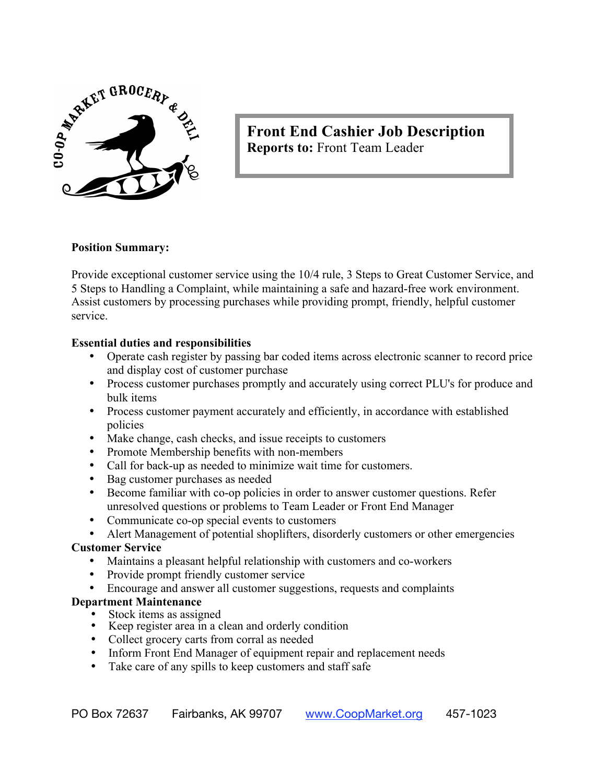

# **Front End Cashier Job Description Reports to:** Front Team Leader

### **Position Summary:**

Provide exceptional customer service using the 10/4 rule, 3 Steps to Great Customer Service, and 5 Steps to Handling a Complaint, while maintaining a safe and hazard-free work environment. Assist customers by processing purchases while providing prompt, friendly, helpful customer service.

#### **Essential duties and responsibilities**

- Operate cash register by passing bar coded items across electronic scanner to record price and display cost of customer purchase
- Process customer purchases promptly and accurately using correct PLU's for produce and bulk items
- Process customer payment accurately and efficiently, in accordance with established policies
- Make change, cash checks, and issue receipts to customers
- Promote Membership benefits with non-members
- Call for back-up as needed to minimize wait time for customers.
- Bag customer purchases as needed
- Become familiar with co-op policies in order to answer customer questions. Refer unresolved questions or problems to Team Leader or Front End Manager
- Communicate co-op special events to customers
- Alert Management of potential shoplifters, disorderly customers or other emergencies

#### **Customer Service**

- Maintains a pleasant helpful relationship with customers and co-workers
- Provide prompt friendly customer service
- Encourage and answer all customer suggestions, requests and complaints

#### **Department Maintenance**

- Stock items as assigned
- Keep register area in a clean and orderly condition
- Collect grocery carts from corral as needed
- Inform Front End Manager of equipment repair and replacement needs
- Take care of any spills to keep customers and staff safe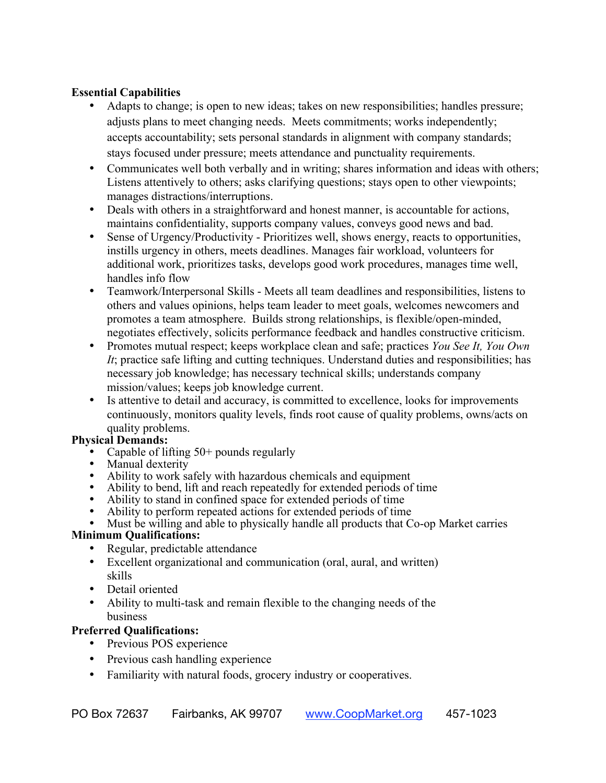### **Essential Capabilities**

- Adapts to change; is open to new ideas; takes on new responsibilities; handles pressure; adjusts plans to meet changing needs. Meets commitments; works independently; accepts accountability; sets personal standards in alignment with company standards; stays focused under pressure; meets attendance and punctuality requirements.
- Communicates well both verbally and in writing; shares information and ideas with others; Listens attentively to others; asks clarifying questions; stays open to other viewpoints; manages distractions/interruptions.
- Deals with others in a straightforward and honest manner, is accountable for actions, maintains confidentiality, supports company values, conveys good news and bad.
- Sense of Urgency/Productivity Prioritizes well, shows energy, reacts to opportunities, instills urgency in others, meets deadlines. Manages fair workload, volunteers for additional work, prioritizes tasks, develops good work procedures, manages time well, handles info flow
- Teamwork/Interpersonal Skills Meets all team deadlines and responsibilities, listens to others and values opinions, helps team leader to meet goals, welcomes newcomers and promotes a team atmosphere. Builds strong relationships, is flexible/open-minded, negotiates effectively, solicits performance feedback and handles constructive criticism.
- Promotes mutual respect; keeps workplace clean and safe; practices *You See It, You Own It*; practice safe lifting and cutting techniques. Understand duties and responsibilities; has necessary job knowledge; has necessary technical skills; understands company mission/values; keeps job knowledge current.
- Is attentive to detail and accuracy, is committed to excellence, looks for improvements continuously, monitors quality levels, finds root cause of quality problems, owns/acts on quality problems.

# **Physical Demands:**

- Capable of lifting 50+ pounds regularly
- Manual dexterity
- Ability to work safely with hazardous chemicals and equipment
- Ability to bend, lift and reach repeatedly for extended periods of time
- Ability to stand in confined space for extended periods of time
- Ability to perform repeated actions for extended periods of time
- Must be willing and able to physically handle all products that Co-op Market carries

# **Minimum Qualifications:**

- Regular, predictable attendance
- Excellent organizational and communication (oral, aural, and written) skills
- Detail oriented
- Ability to multi-task and remain flexible to the changing needs of the business

# **Preferred Qualifications:**

- Previous POS experience
- Previous cash handling experience
- Familiarity with natural foods, grocery industry or cooperatives.